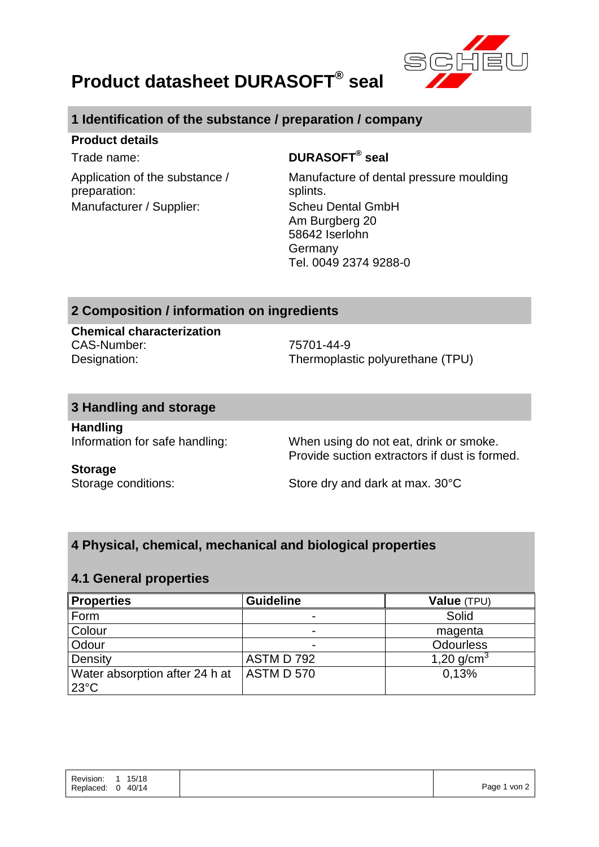

# **Product datasheet DURASOFT® seal**

# **1 Identification of the substance / preparation / company**

#### **Product details**

Application of the substance / preparation: Manufacturer / Supplier: Scheu Dental GmbH

## Trade name: **DURASOFT® seal**

Manufacture of dental pressure moulding splints. Am Burgberg 20 58642 Iserlohn Germany Tel. 0049 2374 9288-0

### **2 Composition / information on ingredients**

**Chemical characterization** CAS-Number: 75701-44-9

Designation: Thermoplastic polyurethane (TPU)

#### **3 Handling and storage**

**Handling**

Information for safe handling: When using do not eat, drink or smoke. Provide suction extractors if dust is formed.

#### **Storage**

Storage conditions: Store dry and dark at max. 30°C

### **4 Physical, chemical, mechanical and biological properties**

#### **4.1 General properties**

| <b>Properties</b>              | <b>Guideline</b> | Value (TPU)      |
|--------------------------------|------------------|------------------|
| Form                           |                  | Solid            |
| Colour                         |                  | magenta          |
| Odour                          |                  | <b>Odourless</b> |
| Density                        | ASTM D 792       | 1,20 $q/cm^{3}$  |
| Water absorption after 24 h at | ASTM D 570       | 0.13%            |
| $23^{\circ}$ C                 |                  |                  |